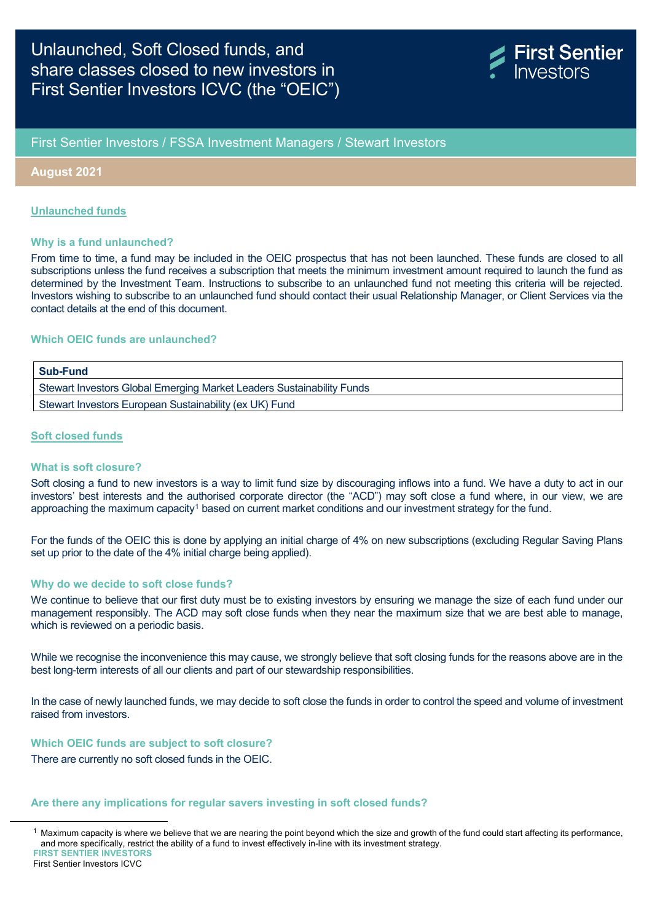

## First Sentier Investors / FSSA Investment Managers / Stewart Investors

#### **August 2021**

#### **Unlaunched funds**

#### **Why is a fund unlaunched?**

From time to time, a fund may be included in the OEIC prospectus that has not been launched. These funds are closed to all subscriptions unless the fund receives a subscription that meets the minimum investment amount required to launch the fund as determined by the Investment Team. Instructions to subscribe to an unlaunched fund not meeting this criteria will be rejected. Investors wishing to subscribe to an unlaunched fund should contact their usual Relationship Manager, or Client Services via the contact details at the end of this document.

### **Which OEIC funds are unlaunched?**

# **Sub-Fund** Stewart Investors Global Emerging Market Leaders Sustainability Funds Stewart Investors European Sustainability (ex UK) Fund

#### **Soft closed funds**

#### **What is soft closure?**

Soft closing a fund to new investors is a way to limit fund size by discouraging inflows into a fund. We have a duty to act in our investors' best interests and the authorised corporate director (the "ACD") may soft close a fund where, in our view, we are approaching the maximum capacity<sup>[1](#page-0-0)</sup> based on current market conditions and our investment strategy for the fund.

For the funds of the OEIC this is done by applying an initial charge of 4% on new subscriptions (excluding Regular Saving Plans set up prior to the date of the 4% initial charge being applied).

#### **Why do we decide to soft close funds?**

We continue to believe that our first duty must be to existing investors by ensuring we manage the size of each fund under our management responsibly. The ACD may soft close funds when they near the maximum size that we are best able to manage, which is reviewed on a periodic basis.

While we recognise the inconvenience this may cause, we strongly believe that soft closing funds for the reasons above are in the best long-term interests of all our clients and part of our stewardship responsibilities.

In the case of newly launched funds, we may decide to soft close the funds in order to control the speed and volume of investment raised from investors.

#### **Which OEIC funds are subject to soft closure?**

There are currently no soft closed funds in the OEIC.

#### **Are there any implications for regular savers investing in soft closed funds?**

First Sentier Investors ICVC

<span id="page-0-0"></span>**FIRST SENTIER INVESTORS**  $1$  Maximum capacity is where we believe that we are nearing the point beyond which the size and growth of the fund could start affecting its performance, and more specifically, restrict the ability of a fund to invest effectively in-line with its investment strategy.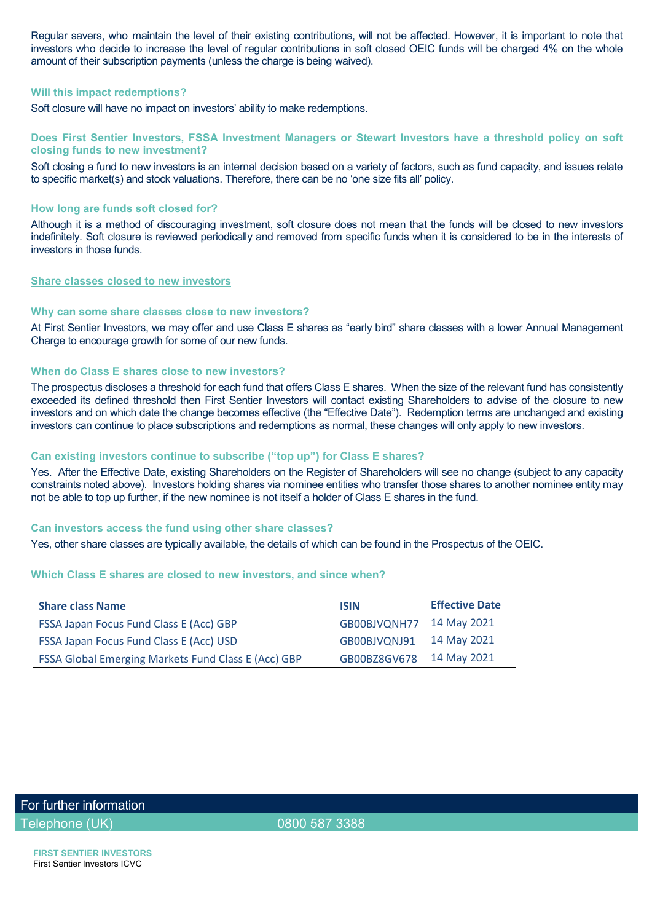Regular savers, who maintain the level of their existing contributions, will not be affected. However, it is important to note that investors who decide to increase the level of regular contributions in soft closed OEIC funds will be charged 4% on the whole amount of their subscription payments (unless the charge is being waived).

#### **Will this impact redemptions?**

Soft closure will have no impact on investors' ability to make redemptions.

#### **Does First Sentier Investors, FSSA Investment Managers or Stewart Investors have a threshold policy on soft closing funds to new investment?**

Soft closing a fund to new investors is an internal decision based on a variety of factors, such as fund capacity, and issues relate to specific market(s) and stock valuations. Therefore, there can be no 'one size fits all' policy.

#### **How long are funds soft closed for?**

Although it is a method of discouraging investment, soft closure does not mean that the funds will be closed to new investors indefinitely. Soft closure is reviewed periodically and removed from specific funds when it is considered to be in the interests of investors in those funds.

### **Share classes closed to new investors**

#### **Why can some share classes close to new investors?**

At First Sentier Investors, we may offer and use Class E shares as "early bird" share classes with a lower Annual Management Charge to encourage growth for some of our new funds.

### **When do Class E shares close to new investors?**

The prospectus discloses a threshold for each fund that offers Class E shares. When the size of the relevant fund has consistently exceeded its defined threshold then First Sentier Investors will contact existing Shareholders to advise of the closure to new investors and on which date the change becomes effective (the "Effective Date"). Redemption terms are unchanged and existing investors can continue to place subscriptions and redemptions as normal, these changes will only apply to new investors.

### **Can existing investors continue to subscribe ("top up") for Class E shares?**

Yes. After the Effective Date, existing Shareholders on the Register of Shareholders will see no change (subject to any capacity constraints noted above). Investors holding shares via nominee entities who transfer those shares to another nominee entity may not be able to top up further, if the new nominee is not itself a holder of Class E shares in the fund.

#### **Can investors access the fund using other share classes?**

Yes, other share classes are typically available, the details of which can be found in the Prospectus of the OEIC.

### **Which Class E shares are closed to new investors, and since when?**

| <b>Share class Name</b>                                    | <b>ISIN</b>  | <b>Effective Date</b> |
|------------------------------------------------------------|--------------|-----------------------|
| <b>FSSA Japan Focus Fund Class E (Acc) GBP</b>             | GB00BJVQNH77 | 14 May 2021           |
| <b>FSSA Japan Focus Fund Class E (Acc) USD</b>             | GB00BJVQNJ91 | 14 May 2021           |
| <b>FSSA Global Emerging Markets Fund Class E (Acc) GBP</b> | GB00BZ8GV678 | 14 May 2021           |

For further information

Telephone (UK) 0800 587 3388